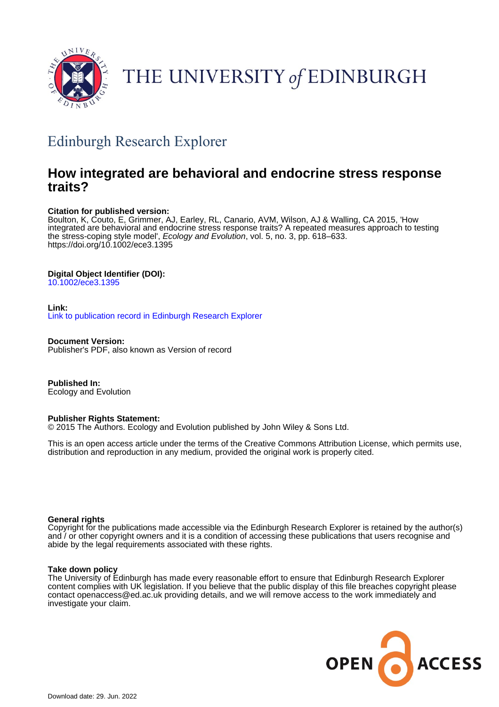

# THE UNIVERSITY of EDINBURGH

## Edinburgh Research Explorer

## **How integrated are behavioral and endocrine stress response traits?**

## **Citation for published version:**

Boulton, K, Couto, E, Grimmer, AJ, Earley, RL, Canario, AVM, Wilson, AJ & Walling, CA 2015, 'How integrated are behavioral and endocrine stress response traits? A repeated measures approach to testing the stress-coping style model', Ecology and Evolution, vol. 5, no. 3, pp. 618–633. <https://doi.org/10.1002/ece3.1395>

## **Digital Object Identifier (DOI):**

[10.1002/ece3.1395](https://doi.org/10.1002/ece3.1395)

## **Link:**

[Link to publication record in Edinburgh Research Explorer](https://www.research.ed.ac.uk/en/publications/511cbb11-98e5-4a12-a068-d811cb1401b2)

**Document Version:** Publisher's PDF, also known as Version of record

**Published In:** Ecology and Evolution

## **Publisher Rights Statement:**

© 2015 The Authors. Ecology and Evolution published by John Wiley & Sons Ltd.

This is an open access article under the terms of the Creative Commons Attribution License, which permits use, distribution and reproduction in any medium, provided the original work is properly cited.

## **General rights**

Copyright for the publications made accessible via the Edinburgh Research Explorer is retained by the author(s) and / or other copyright owners and it is a condition of accessing these publications that users recognise and abide by the legal requirements associated with these rights.

## **Take down policy**

The University of Edinburgh has made every reasonable effort to ensure that Edinburgh Research Explorer content complies with UK legislation. If you believe that the public display of this file breaches copyright please contact openaccess@ed.ac.uk providing details, and we will remove access to the work immediately and investigate your claim.

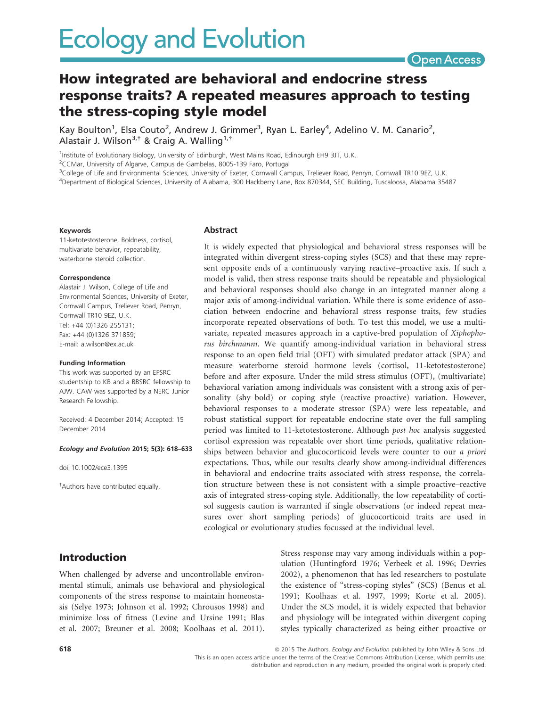**Open Access** 

## How integrated are behavioral and endocrine stress response traits? A repeated measures approach to testing the stress-coping style model

Kay Boulton<sup>1</sup>, Elsa Couto<sup>2</sup>, Andrew J. Grimmer<sup>3</sup>, Ryan L. Earley<sup>4</sup>, Adelino V. M. Canario<sup>2</sup>, Alastair J. Wilson<sup>3,†</sup> & Craig A. Walling<sup>1,†</sup>

<sup>1</sup>Institute of Evolutionary Biology, University of Edinburgh, West Mains Road, Edinburgh EH9 3JT, U.K.

<sup>2</sup>CCMar, University of Algarve, Campus de Gambelas, 8005-139 Faro, Portugal

<sup>3</sup>College of Life and Environmental Sciences, University of Exeter, Cornwall Campus, Treliever Road, Penryn, Cornwall TR10 9EZ, U.K.

4 Department of Biological Sciences, University of Alabama, 300 Hackberry Lane, Box 870344, SEC Building, Tuscaloosa, Alabama 35487

#### Keywords

11-ketotestosterone, Boldness, cortisol, multivariate behavior, repeatability, waterborne steroid collection.

#### Correspondence

Alastair J. Wilson, College of Life and Environmental Sciences, University of Exeter, Cornwall Campus, Treliever Road, Penryn, Cornwall TR10 9EZ, U.K. Tel: +44 (0)1326 255131; Fax: +44 (0)1326 371859; E-mail: a.wilson@ex.ac.uk

#### Funding Information

This work was supported by an EPSRC studentship to KB and a BBSRC fellowship to AJW. CAW was supported by a NERC Junior Research Fellowship.

Received: 4 December 2014; Accepted: 15 December 2014

#### Ecology and Evolution 2015; 5(3): 618–633

doi: 10.1002/ece3.1395

† Authors have contributed equally.

#### Abstract

It is widely expected that physiological and behavioral stress responses will be integrated within divergent stress-coping styles (SCS) and that these may represent opposite ends of a continuously varying reactive–proactive axis. If such a model is valid, then stress response traits should be repeatable and physiological and behavioral responses should also change in an integrated manner along a major axis of among-individual variation. While there is some evidence of association between endocrine and behavioral stress response traits, few studies incorporate repeated observations of both. To test this model, we use a multivariate, repeated measures approach in a captive-bred population of Xiphophorus birchmanni. We quantify among-individual variation in behavioral stress response to an open field trial (OFT) with simulated predator attack (SPA) and measure waterborne steroid hormone levels (cortisol, 11-ketotestosterone) before and after exposure. Under the mild stress stimulus (OFT), (multivariate) behavioral variation among individuals was consistent with a strong axis of personality (shy–bold) or coping style (reactive–proactive) variation. However, behavioral responses to a moderate stressor (SPA) were less repeatable, and robust statistical support for repeatable endocrine state over the full sampling period was limited to 11-ketotestosterone. Although post hoc analysis suggested cortisol expression was repeatable over short time periods, qualitative relationships between behavior and glucocorticoid levels were counter to our a priori expectations. Thus, while our results clearly show among-individual differences in behavioral and endocrine traits associated with stress response, the correlation structure between these is not consistent with a simple proactive–reactive axis of integrated stress-coping style. Additionally, the low repeatability of cortisol suggests caution is warranted if single observations (or indeed repeat measures over short sampling periods) of glucocorticoid traits are used in ecological or evolutionary studies focussed at the individual level.

## Introduction

When challenged by adverse and uncontrollable environmental stimuli, animals use behavioral and physiological components of the stress response to maintain homeostasis (Selye 1973; Johnson et al. 1992; Chrousos 1998) and minimize loss of fitness (Levine and Ursine 1991; Blas et al. 2007; Breuner et al. 2008; Koolhaas et al. 2011). Stress response may vary among individuals within a population (Huntingford 1976; Verbeek et al. 1996; Devries 2002), a phenomenon that has led researchers to postulate the existence of "stress-coping styles" (SCS) (Benus et al. 1991; Koolhaas et al. 1997, 1999; Korte et al. 2005). Under the SCS model, it is widely expected that behavior and physiology will be integrated within divergent coping styles typically characterized as being either proactive or

This is an open access article under the terms of the Creative Commons Attribution License, which permits use, distribution and reproduction in any medium, provided the original work is properly cited.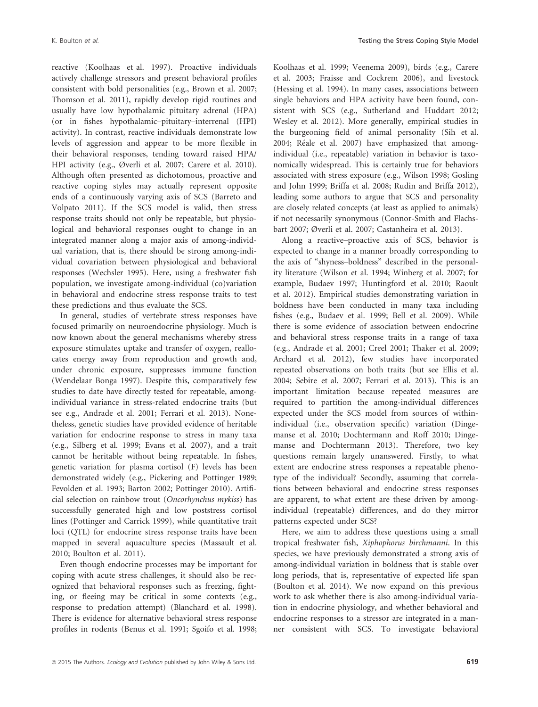reactive (Koolhaas et al. 1997). Proactive individuals actively challenge stressors and present behavioral profiles consistent with bold personalities (e.g., Brown et al. 2007; Thomson et al. 2011), rapidly develop rigid routines and usually have low hypothalamic–pituitary–adrenal (HPA) (or in fishes hypothalamic–pituitary–interrenal (HPI) activity). In contrast, reactive individuals demonstrate low levels of aggression and appear to be more flexible in their behavioral responses, tending toward raised HPA/ HPI activity (e.g., Øverli et al. 2007; Carere et al. 2010). Although often presented as dichotomous, proactive and reactive coping styles may actually represent opposite ends of a continuously varying axis of SCS (Barreto and Volpato 2011). If the SCS model is valid, then stress response traits should not only be repeatable, but physiological and behavioral responses ought to change in an integrated manner along a major axis of among-individual variation, that is, there should be strong among-individual covariation between physiological and behavioral responses (Wechsler 1995). Here, using a freshwater fish population, we investigate among-individual (co)variation in behavioral and endocrine stress response traits to test these predictions and thus evaluate the SCS.

In general, studies of vertebrate stress responses have focused primarily on neuroendocrine physiology. Much is now known about the general mechanisms whereby stress exposure stimulates uptake and transfer of oxygen, reallocates energy away from reproduction and growth and, under chronic exposure, suppresses immune function (Wendelaar Bonga 1997). Despite this, comparatively few studies to date have directly tested for repeatable, amongindividual variance in stress-related endocrine traits (but see e.g., Andrade et al. 2001; Ferrari et al. 2013). Nonetheless, genetic studies have provided evidence of heritable variation for endocrine response to stress in many taxa (e.g., Silberg et al. 1999; Evans et al. 2007), and a trait cannot be heritable without being repeatable. In fishes, genetic variation for plasma cortisol (F) levels has been demonstrated widely (e.g., Pickering and Pottinger 1989; Fevolden et al. 1993; Barton 2002; Pottinger 2010). Artificial selection on rainbow trout (Oncorhynchus mykiss) has successfully generated high and low poststress cortisol lines (Pottinger and Carrick 1999), while quantitative trait loci (QTL) for endocrine stress response traits have been mapped in several aquaculture species (Massault et al. 2010; Boulton et al. 2011).

Even though endocrine processes may be important for coping with acute stress challenges, it should also be recognized that behavioral responses such as freezing, fighting, or fleeing may be critical in some contexts (e.g., response to predation attempt) (Blanchard et al. 1998). There is evidence for alternative behavioral stress response profiles in rodents (Benus et al. 1991; Sgoifo et al. 1998; Koolhaas et al. 1999; Veenema 2009), birds (e.g., Carere et al. 2003; Fraisse and Cockrem 2006), and livestock (Hessing et al. 1994). In many cases, associations between single behaviors and HPA activity have been found, consistent with SCS (e.g., Sutherland and Huddart 2012; Wesley et al. 2012). More generally, empirical studies in the burgeoning field of animal personality (Sih et al. 2004; Réale et al. 2007) have emphasized that amongindividual (i.e., repeatable) variation in behavior is taxonomically widespread. This is certainly true for behaviors associated with stress exposure (e.g., Wilson 1998; Gosling and John 1999; Briffa et al. 2008; Rudin and Briffa 2012), leading some authors to argue that SCS and personality are closely related concepts (at least as applied to animals) if not necessarily synonymous (Connor-Smith and Flachsbart 2007; Øverli et al. 2007; Castanheira et al. 2013).

Along a reactive–proactive axis of SCS, behavior is expected to change in a manner broadly corresponding to the axis of "shyness–boldness" described in the personality literature (Wilson et al. 1994; Winberg et al. 2007; for example, Budaev 1997; Huntingford et al. 2010; Raoult et al. 2012). Empirical studies demonstrating variation in boldness have been conducted in many taxa including fishes (e.g., Budaev et al. 1999; Bell et al. 2009). While there is some evidence of association between endocrine and behavioral stress response traits in a range of taxa (e.g., Andrade et al. 2001; Creel 2001; Thaker et al. 2009; Archard et al. 2012), few studies have incorporated repeated observations on both traits (but see Ellis et al. 2004; Sebire et al. 2007; Ferrari et al. 2013). This is an important limitation because repeated measures are required to partition the among-individual differences expected under the SCS model from sources of withinindividual (i.e., observation specific) variation (Dingemanse et al. 2010; Dochtermann and Roff 2010; Dingemanse and Dochtermann 2013). Therefore, two key questions remain largely unanswered. Firstly, to what extent are endocrine stress responses a repeatable phenotype of the individual? Secondly, assuming that correlations between behavioral and endocrine stress responses are apparent, to what extent are these driven by amongindividual (repeatable) differences, and do they mirror patterns expected under SCS?

Here, we aim to address these questions using a small tropical freshwater fish, Xiphophorus birchmanni. In this species, we have previously demonstrated a strong axis of among-individual variation in boldness that is stable over long periods, that is, representative of expected life span (Boulton et al. 2014). We now expand on this previous work to ask whether there is also among-individual variation in endocrine physiology, and whether behavioral and endocrine responses to a stressor are integrated in a manner consistent with SCS. To investigate behavioral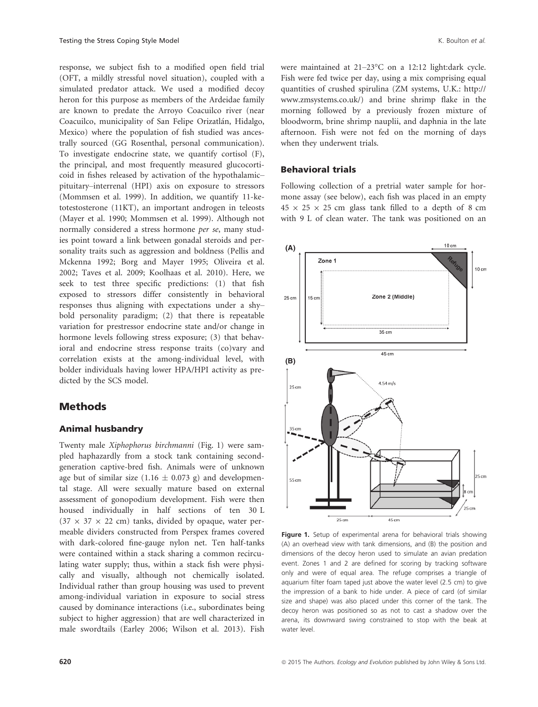response, we subject fish to a modified open field trial (OFT, a mildly stressful novel situation), coupled with a simulated predator attack. We used a modified decoy heron for this purpose as members of the Ardeidae family are known to predate the Arroyo Coacuilco river (near Coacuilco, municipality of San Felipe Orizatlán, Hidalgo, Mexico) where the population of fish studied was ancestrally sourced (GG Rosenthal, personal communication). To investigate endocrine state, we quantify cortisol (F), the principal, and most frequently measured glucocorticoid in fishes released by activation of the hypothalamic– pituitary–interrenal (HPI) axis on exposure to stressors (Mommsen et al. 1999). In addition, we quantify 11-ketotestosterone (11KT), an important androgen in teleosts (Mayer et al. 1990; Mommsen et al. 1999). Although not normally considered a stress hormone per se, many studies point toward a link between gonadal steroids and personality traits such as aggression and boldness (Pellis and Mckenna 1992; Borg and Mayer 1995; Oliveira et al. 2002; Taves et al. 2009; Koolhaas et al. 2010). Here, we seek to test three specific predictions: (1) that fish exposed to stressors differ consistently in behavioral responses thus aligning with expectations under a shy– bold personality paradigm; (2) that there is repeatable variation for prestressor endocrine state and/or change in hormone levels following stress exposure; (3) that behavioral and endocrine stress response traits (co)vary and correlation exists at the among-individual level, with bolder individuals having lower HPA/HPI activity as predicted by the SCS model.

## Methods

#### Animal husbandry

Twenty male Xiphophorus birchmanni (Fig. 1) were sampled haphazardly from a stock tank containing secondgeneration captive-bred fish. Animals were of unknown age but of similar size (1.16  $\pm$  0.073 g) and developmental stage. All were sexually mature based on external assessment of gonopodium development. Fish were then housed individually in half sections of ten 30 L  $(37 \times 37 \times 22 \text{ cm})$  tanks, divided by opaque, water permeable dividers constructed from Perspex frames covered with dark-colored fine-gauge nylon net. Ten half-tanks were contained within a stack sharing a common recirculating water supply; thus, within a stack fish were physically and visually, although not chemically isolated. Individual rather than group housing was used to prevent among-individual variation in exposure to social stress caused by dominance interactions (i.e., subordinates being subject to higher aggression) that are well characterized in male swordtails (Earley 2006; Wilson et al. 2013). Fish were maintained at 21–23°C on a 12:12 light:dark cycle. Fish were fed twice per day, using a mix comprising equal quantities of crushed spirulina (ZM systems, U.K.: [http://](http://www.zmsystems.co.uk/) [www.zmsystems.co.uk/](http://www.zmsystems.co.uk/)) and brine shrimp flake in the morning followed by a previously frozen mixture of bloodworm, brine shrimp nauplii, and daphnia in the late afternoon. Fish were not fed on the morning of days when they underwent trials.

#### Behavioral trials

Following collection of a pretrial water sample for hormone assay (see below), each fish was placed in an empty  $45 \times 25 \times 25$  cm glass tank filled to a depth of 8 cm with 9 L of clean water. The tank was positioned on an



Figure 1. Setup of experimental arena for behavioral trials showing (A) an overhead view with tank dimensions, and (B) the position and dimensions of the decoy heron used to simulate an avian predation event. Zones 1 and 2 are defined for scoring by tracking software only and were of equal area. The refuge comprises a triangle of aquarium filter foam taped just above the water level (2.5 cm) to give the impression of a bank to hide under. A piece of card (of similar size and shape) was also placed under this corner of the tank. The decoy heron was positioned so as not to cast a shadow over the arena, its downward swing constrained to stop with the beak at water level.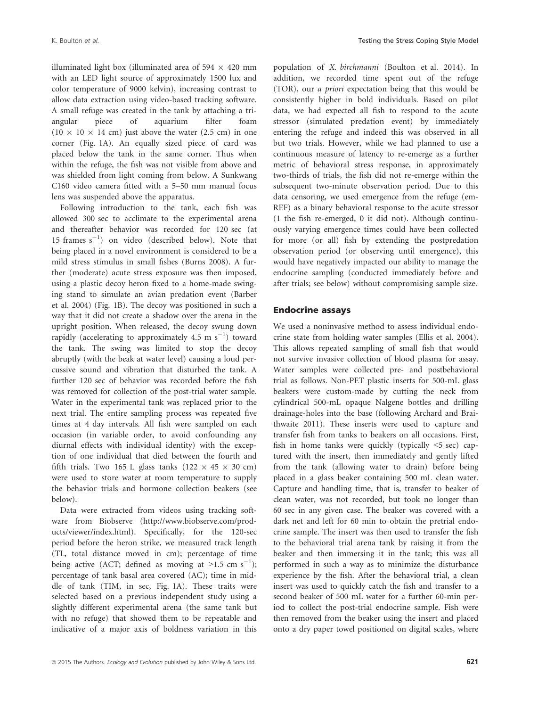illuminated light box (illuminated area of 594  $\times$  420 mm with an LED light source of approximately 1500 lux and color temperature of 9000 kelvin), increasing contrast to allow data extraction using video-based tracking software. A small refuge was created in the tank by attaching a triangular piece of aquarium filter foam  $(10 \times 10 \times 14$  cm) just above the water (2.5 cm) in one corner (Fig. 1A). An equally sized piece of card was placed below the tank in the same corner. Thus when within the refuge, the fish was not visible from above and was shielded from light coming from below. A Sunkwang C160 video camera fitted with a 5–50 mm manual focus lens was suspended above the apparatus.

Following introduction to the tank, each fish was allowed 300 sec to acclimate to the experimental arena and thereafter behavior was recorded for 120 sec (at 15 frames  $s^{-1}$ ) on video (described below). Note that being placed in a novel environment is considered to be a mild stress stimulus in small fishes (Burns 2008). A further (moderate) acute stress exposure was then imposed, using a plastic decoy heron fixed to a home-made swinging stand to simulate an avian predation event (Barber et al. 2004) (Fig. 1B). The decoy was positioned in such a way that it did not create a shadow over the arena in the upright position. When released, the decoy swung down rapidly (accelerating to approximately 4.5 m  $s^{-1}$ ) toward the tank. The swing was limited to stop the decoy abruptly (with the beak at water level) causing a loud percussive sound and vibration that disturbed the tank. A further 120 sec of behavior was recorded before the fish was removed for collection of the post-trial water sample. Water in the experimental tank was replaced prior to the next trial. The entire sampling process was repeated five times at 4 day intervals. All fish were sampled on each occasion (in variable order, to avoid confounding any diurnal effects with individual identity) with the exception of one individual that died between the fourth and fifth trials. Two 165 L glass tanks (122  $\times$  45  $\times$  30 cm) were used to store water at room temperature to supply the behavior trials and hormone collection beakers (see below).

Data were extracted from videos using tracking software from Biobserve ([http://www.biobserve.com/prod](http://www.biobserve.com/products/viewer/index.html)[ucts/viewer/index.html\)](http://www.biobserve.com/products/viewer/index.html). Specifically, for the 120-sec period before the heron strike, we measured track length (TL, total distance moved in cm); percentage of time being active (ACT; defined as moving at  $>1.5$  cm s<sup>-1</sup>); percentage of tank basal area covered (AC); time in middle of tank (TIM, in sec, Fig. 1A). These traits were selected based on a previous independent study using a slightly different experimental arena (the same tank but with no refuge) that showed them to be repeatable and indicative of a major axis of boldness variation in this population of X. birchmanni (Boulton et al. 2014). In addition, we recorded time spent out of the refuge (TOR), our a priori expectation being that this would be consistently higher in bold individuals. Based on pilot data, we had expected all fish to respond to the acute stressor (simulated predation event) by immediately entering the refuge and indeed this was observed in all but two trials. However, while we had planned to use a continuous measure of latency to re-emerge as a further metric of behavioral stress response, in approximately two-thirds of trials, the fish did not re-emerge within the subsequent two-minute observation period. Due to this data censoring, we used emergence from the refuge (em-REF) as a binary behavioral response to the acute stressor (1 the fish re-emerged, 0 it did not). Although continuously varying emergence times could have been collected for more (or all) fish by extending the postpredation observation period (or observing until emergence), this would have negatively impacted our ability to manage the endocrine sampling (conducted immediately before and after trials; see below) without compromising sample size.

#### Endocrine assays

We used a noninvasive method to assess individual endocrine state from holding water samples (Ellis et al. 2004). This allows repeated sampling of small fish that would not survive invasive collection of blood plasma for assay. Water samples were collected pre- and postbehavioral trial as follows. Non-PET plastic inserts for 500-mL glass beakers were custom-made by cutting the neck from cylindrical 500-mL opaque Nalgene bottles and drilling drainage-holes into the base (following Archard and Braithwaite 2011). These inserts were used to capture and transfer fish from tanks to beakers on all occasions. First, fish in home tanks were quickly (typically <5 sec) captured with the insert, then immediately and gently lifted from the tank (allowing water to drain) before being placed in a glass beaker containing 500 mL clean water. Capture and handling time, that is, transfer to beaker of clean water, was not recorded, but took no longer than 60 sec in any given case. The beaker was covered with a dark net and left for 60 min to obtain the pretrial endocrine sample. The insert was then used to transfer the fish to the behavioral trial arena tank by raising it from the beaker and then immersing it in the tank; this was all performed in such a way as to minimize the disturbance experience by the fish. After the behavioral trial, a clean insert was used to quickly catch the fish and transfer to a second beaker of 500 mL water for a further 60-min period to collect the post-trial endocrine sample. Fish were then removed from the beaker using the insert and placed onto a dry paper towel positioned on digital scales, where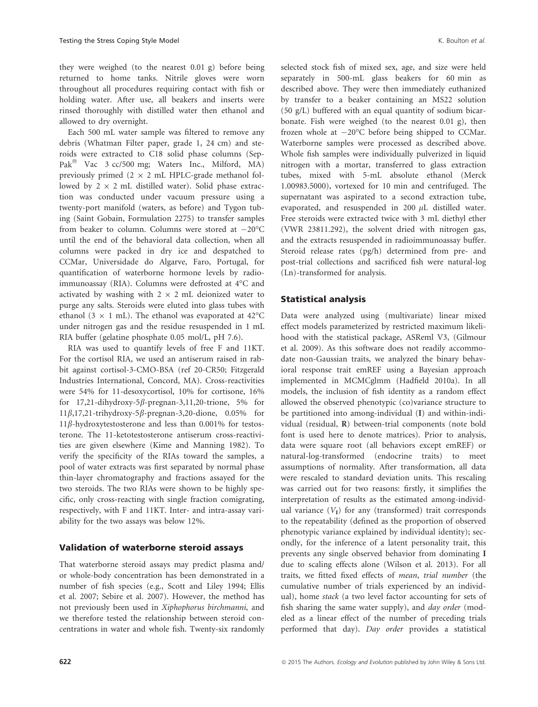they were weighed (to the nearest 0.01 g) before being returned to home tanks. Nitrile gloves were worn throughout all procedures requiring contact with fish or holding water. After use, all beakers and inserts were rinsed thoroughly with distilled water then ethanol and allowed to dry overnight.

Each 500 mL water sample was filtered to remove any debris (Whatman Filter paper, grade 1, 24 cm) and steroids were extracted to C18 solid phase columns (Sep-Pak<sup>®</sup> Vac 3 cc/500 mg; Waters Inc., Milford, MA) previously primed  $(2 \times 2 \text{ mL HPLC-grade method})$ lowed by  $2 \times 2$  mL distilled water). Solid phase extraction was conducted under vacuum pressure using a twenty-port manifold (waters, as before) and Tygon tubing (Saint Gobain, Formulation 2275) to transfer samples from beaker to column. Columns were stored at  $-20^{\circ}$ C until the end of the behavioral data collection, when all columns were packed in dry ice and despatched to CCMar, Universidade do Algarve, Faro, Portugal, for quantification of waterborne hormone levels by radioimmunoassay (RIA). Columns were defrosted at 4°C and activated by washing with  $2 \times 2$  mL deionized water to purge any salts. Steroids were eluted into glass tubes with ethanol (3  $\times$  1 mL). The ethanol was evaporated at 42°C under nitrogen gas and the residue resuspended in 1 mL RIA buffer (gelatine phosphate 0.05 mol/L, pH 7.6).

RIA was used to quantify levels of free F and 11KT. For the cortisol RIA, we used an antiserum raised in rabbit against cortisol-3-CMO-BSA (ref 20-CR50; Fitzgerald Industries International, Concord, MA). Cross-reactivities were 54% for 11-desoxycortisol, 10% for cortisone, 16% for  $17,21$ -dihydroxy-5 $\beta$ -pregnan-3,11,20-trione, 5% for  $11\beta$ ,17,21-trihydroxy-5 $\beta$ -pregnan-3,20-dione, 0.05% for  $11\beta$ -hydroxytestosterone and less than 0.001% for testosterone. The 11-ketotestosterone antiserum cross-reactivities are given elsewhere (Kime and Manning 1982). To verify the specificity of the RIAs toward the samples, a pool of water extracts was first separated by normal phase thin-layer chromatography and fractions assayed for the two steroids. The two RIAs were shown to be highly specific, only cross-reacting with single fraction comigrating, respectively, with F and 11KT. Inter- and intra-assay variability for the two assays was below 12%.

## Validation of waterborne steroid assays

That waterborne steroid assays may predict plasma and/ or whole-body concentration has been demonstrated in a number of fish species (e.g., Scott and Liley 1994; Ellis et al. 2007; Sebire et al. 2007). However, the method has not previously been used in Xiphophorus birchmanni, and we therefore tested the relationship between steroid concentrations in water and whole fish. Twenty-six randomly selected stock fish of mixed sex, age, and size were held separately in 500-mL glass beakers for 60 min as described above. They were then immediately euthanized by transfer to a beaker containing an MS22 solution (50 g/L) buffered with an equal quantity of sodium bicarbonate. Fish were weighed (to the nearest 0.01 g), then frozen whole at  $-20^{\circ}$ C before being shipped to CCMar. Waterborne samples were processed as described above. Whole fish samples were individually pulverized in liquid nitrogen with a mortar, transferred to glass extraction tubes, mixed with 5-mL absolute ethanol (Merck 1.00983.5000), vortexed for 10 min and centrifuged. The supernatant was aspirated to a second extraction tube, evaporated, and resuspended in 200  $\mu$ L distilled water. Free steroids were extracted twice with 3 mL diethyl ether (VWR 23811.292), the solvent dried with nitrogen gas, and the extracts resuspended in radioimmunoassay buffer. Steroid release rates (pg/h) determined from pre- and post-trial collections and sacrificed fish were natural-log

### Statistical analysis

(Ln)-transformed for analysis.

Data were analyzed using (multivariate) linear mixed effect models parameterized by restricted maximum likelihood with the statistical package, ASReml V3, (Gilmour et al. 2009). As this software does not readily accommodate non-Gaussian traits, we analyzed the binary behavioral response trait emREF using a Bayesian approach implemented in MCMCglmm (Hadfield 2010a). In all models, the inclusion of fish identity as a random effect allowed the observed phenotypic (co)variance structure to be partitioned into among-individual (I) and within-individual (residual, R) between-trial components (note bold font is used here to denote matrices). Prior to analysis, data were square root (all behaviors except emREF) or natural-log-transformed (endocrine traits) to meet assumptions of normality. After transformation, all data were rescaled to standard deviation units. This rescaling was carried out for two reasons: firstly, it simplifies the interpretation of results as the estimated among-individual variance  $(V<sub>I</sub>)$  for any (transformed) trait corresponds to the repeatability (defined as the proportion of observed phenotypic variance explained by individual identity); secondly, for the inference of a latent personality trait, this prevents any single observed behavior from dominating I due to scaling effects alone (Wilson et al. 2013). For all traits, we fitted fixed effects of mean, trial number (the cumulative number of trials experienced by an individual), home stack (a two level factor accounting for sets of fish sharing the same water supply), and *day order* (modeled as a linear effect of the number of preceding trials performed that day). Day order provides a statistical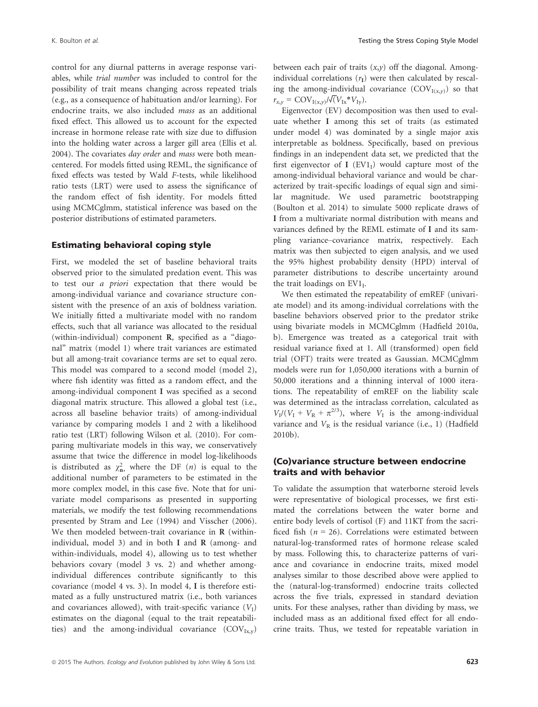control for any diurnal patterns in average response variables, while trial number was included to control for the possibility of trait means changing across repeated trials (e.g., as a consequence of habituation and/or learning). For endocrine traits, we also included mass as an additional fixed effect. This allowed us to account for the expected increase in hormone release rate with size due to diffusion into the holding water across a larger gill area (Ellis et al. 2004). The covariates day order and mass were both meancentered. For models fitted using REML, the significance of fixed effects was tested by Wald F-tests, while likelihood ratio tests (LRT) were used to assess the significance of the random effect of fish identity. For models fitted using MCMCglmm, statistical inference was based on the posterior distributions of estimated parameters.

#### Estimating behavioral coping style

First, we modeled the set of baseline behavioral traits observed prior to the simulated predation event. This was to test our a priori expectation that there would be among-individual variance and covariance structure consistent with the presence of an axis of boldness variation. We initially fitted a multivariate model with no random effects, such that all variance was allocated to the residual (within-individual) component R, specified as a "diagonal" matrix (model 1) where trait variances are estimated but all among-trait covariance terms are set to equal zero. This model was compared to a second model (model 2), where fish identity was fitted as a random effect, and the among-individual component I was specified as a second diagonal matrix structure. This allowed a global test (i.e., across all baseline behavior traits) of among-individual variance by comparing models 1 and 2 with a likelihood ratio test (LRT) following Wilson et al. (2010). For comparing multivariate models in this way, we conservatively assume that twice the difference in model log-likelihoods is distributed as  $\chi^2$ , where the DF (*n*) is equal to the additional number of parameters to be estimated in the additional number of parameters to be estimated in the more complex model, in this case five. Note that for univariate model comparisons as presented in supporting materials, we modify the test following recommendations presented by Stram and Lee (1994) and Visscher (2006). We then modeled between-trait covariance in **R** (withinindividual, model 3) and in both I and  $R$  (among- and within-individuals, model 4), allowing us to test whether behaviors covary (model 3 vs. 2) and whether amongindividual differences contribute significantly to this covariance (model 4 vs. 3). In model 4, I is therefore estimated as a fully unstructured matrix (i.e., both variances and covariances allowed), with trait-specific variance  $(V<sub>I</sub>)$ estimates on the diagonal (equal to the trait repeatabilities) and the among-individual covariance  $(COV_{Ix,y})$  between each pair of traits  $(x,y)$  off the diagonal. Amongindividual correlations  $(r<sub>I</sub>)$  were then calculated by rescaling the among-individual covariance  $(COV<sub>I(x,y)</sub>)$  so that  $r_{x,y} = \text{COV}_{I(x,y)}/\sqrt{(V_{\text{Ix}}*V_{\text{Iv}})}.$ 

Eigenvector (EV) decomposition was then used to evaluate whether I among this set of traits (as estimated under model 4) was dominated by a single major axis interpretable as boldness. Specifically, based on previous findings in an independent data set, we predicted that the first eigenvector of I ( $EV1<sub>I</sub>$ ) would capture most of the among-individual behavioral variance and would be characterized by trait-specific loadings of equal sign and similar magnitude. We used parametric bootstrapping (Boulton et al. 2014) to simulate 5000 replicate draws of I from a multivariate normal distribution with means and variances defined by the REML estimate of I and its sampling variance–covariance matrix, respectively. Each matrix was then subjected to eigen analysis, and we used the 95% highest probability density (HPD) interval of parameter distributions to describe uncertainty around the trait loadings on  $EV1<sub>I</sub>$ .

We then estimated the repeatability of emREF (univariate model) and its among-individual correlations with the baseline behaviors observed prior to the predator strike using bivariate models in MCMCglmm (Hadfield 2010a, b). Emergence was treated as a categorical trait with residual variance fixed at 1. All (transformed) open field trial (OFT) traits were treated as Gaussian. MCMCglmm models were run for 1,050,000 iterations with a burnin of 50,000 iterations and a thinning interval of 1000 iterations. The repeatability of emREF on the liability scale was determined as the intraclass correlation, calculated as  $V_I/(V_I + V_R + \pi^{2/3})$ , where  $V_I$  is the among-individual variance and  $V_R$  is the residual variance (i.e., 1) (Hadfield 2010b).

## (Co)variance structure between endocrine traits and with behavior

To validate the assumption that waterborne steroid levels were representative of biological processes, we first estimated the correlations between the water borne and entire body levels of cortisol (F) and 11KT from the sacrificed fish ( $n = 26$ ). Correlations were estimated between natural-log-transformed rates of hormone release scaled by mass. Following this, to characterize patterns of variance and covariance in endocrine traits, mixed model analyses similar to those described above were applied to the (natural-log-transformed) endocrine traits collected across the five trials, expressed in standard deviation units. For these analyses, rather than dividing by mass, we included mass as an additional fixed effect for all endocrine traits. Thus, we tested for repeatable variation in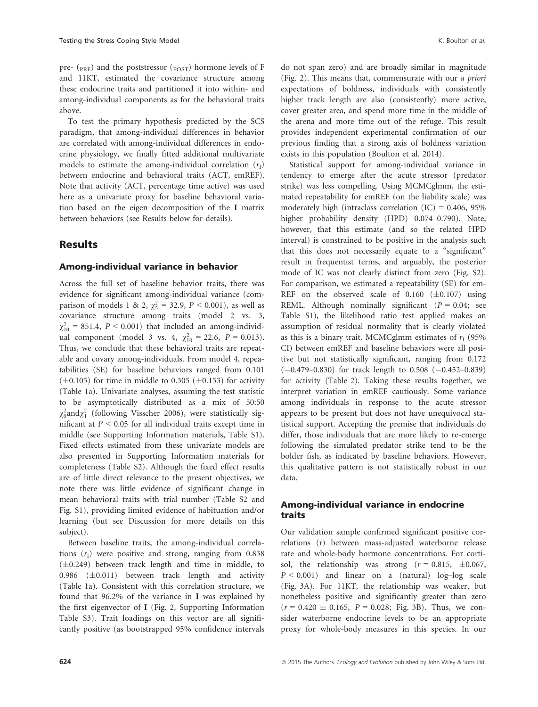pre- ( $_{PRE}$ ) and the poststressor ( $_{POST}$ ) hormone levels of F and 11KT, estimated the covariance structure among these endocrine traits and partitioned it into within- and among-individual components as for the behavioral traits above.

To test the primary hypothesis predicted by the SCS paradigm, that among-individual differences in behavior are correlated with among-individual differences in endocrine physiology, we finally fitted additional multivariate models to estimate the among-individual correlation  $(r<sub>I</sub>)$ between endocrine and behavioral traits (ACT, emREF). Note that activity (ACT, percentage time active) was used here as a univariate proxy for baseline behavioral variation based on the eigen decomposition of the I matrix between behaviors (see Results below for details).

## Results

### Among-individual variance in behavior

Across the full set of baseline behavior traits, there was evidence for significant among-individual variance (comparison of models 1 & 2,  $\chi^2_5 = 32.9$ ,  $P < 0.001$ ), as well as covariance structure among traits (model 2 vs. 3,  $\chi_{10}^2$  = 851.4,  $P < 0.001$ ) that included an among-individual component (model 3 vs. 4,  $\chi_{10}^2 = 22.6$ ,  $P = 0.013$ ). Thus, we conclude that these behavioral traits are repeatable and covary among-individuals. From model 4, repeatabilities (SE) for baseline behaviors ranged from 0.101  $(\pm 0.105)$  for time in middle to 0.305 ( $\pm 0.153$ ) for activity (Table 1a). Univariate analyses, assuming the test statistic to be asymptotically distributed as a mix of 50:50  $\chi_0^2$ and $\chi_1^2$  (following Visscher 2006), were statistically significant at  $P < 0.05$  for all individual traits except time in middle (see Supporting Information materials, Table S1). Fixed effects estimated from these univariate models are also presented in Supporting Information materials for completeness (Table S2). Although the fixed effect results are of little direct relevance to the present objectives, we note there was little evidence of significant change in mean behavioral traits with trial number (Table S2 and Fig. S1), providing limited evidence of habituation and/or learning (but see Discussion for more details on this subject).

Between baseline traits, the among-individual correlations  $(r<sub>I</sub>)$  were positive and strong, ranging from 0.838  $(\pm 0.249)$  between track length and time in middle, to 0.986  $(\pm 0.011)$  between track length and activity (Table 1a). Consistent with this correlation structure, we found that 96.2% of the variance in I was explained by the first eigenvector of I (Fig. 2, Supporting Information Table S3). Trait loadings on this vector are all significantly positive (as bootstrapped 95% confidence intervals do not span zero) and are broadly similar in magnitude (Fig. 2). This means that, commensurate with our a priori expectations of boldness, individuals with consistently higher track length are also (consistently) more active, cover greater area, and spend more time in the middle of the arena and more time out of the refuge. This result provides independent experimental confirmation of our previous finding that a strong axis of boldness variation exists in this population (Boulton et al. 2014).

Statistical support for among-individual variance in tendency to emerge after the acute stressor (predator strike) was less compelling. Using MCMCglmm, the estimated repeatability for emREF (on the liability scale) was moderately high (intraclass correlation  $(IC) = 0.406, 95\%$ higher probability density (HPD) 0.074-0.790). Note, however, that this estimate (and so the related HPD interval) is constrained to be positive in the analysis such that this does not necessarily equate to a "significant" result in frequentist terms, and arguably, the posterior mode of IC was not clearly distinct from zero (Fig. S2). For comparison, we estimated a repeatability (SE) for em-REF on the observed scale of  $0.160$  ( $\pm 0.107$ ) using REML. Although nominally significant ( $P = 0.04$ ; see Table S1), the likelihood ratio test applied makes an assumption of residual normality that is clearly violated as this is a binary trait. MCMCglmm estimates of  $r_I$  (95% CI) between emREF and baseline behaviors were all positive but not statistically significant, ranging from 0.172  $(-0.479-0.830)$  for track length to 0.508  $(-0.452-0.839)$ for activity (Table 2). Taking these results together, we interpret variation in emREF cautiously. Some variance among individuals in response to the acute stressor appears to be present but does not have unequivocal statistical support. Accepting the premise that individuals do differ, those individuals that are more likely to re-emerge following the simulated predator strike tend to be the bolder fish, as indicated by baseline behaviors. However, this qualitative pattern is not statistically robust in our data.

## Among-individual variance in endocrine traits

Our validation sample confirmed significant positive correlations (r) between mass-adjusted waterborne release rate and whole-body hormone concentrations. For cortisol, the relationship was strong  $(r = 0.815, \pm 0.067,$  $P \le 0.001$ ) and linear on a (natural) log-log scale (Fig. 3A). For 11KT, the relationship was weaker, but nonetheless positive and significantly greater than zero  $(r = 0.420 \pm 0.165, P = 0.028;$  Fig. 3B). Thus, we consider waterborne endocrine levels to be an appropriate proxy for whole-body measures in this species. In our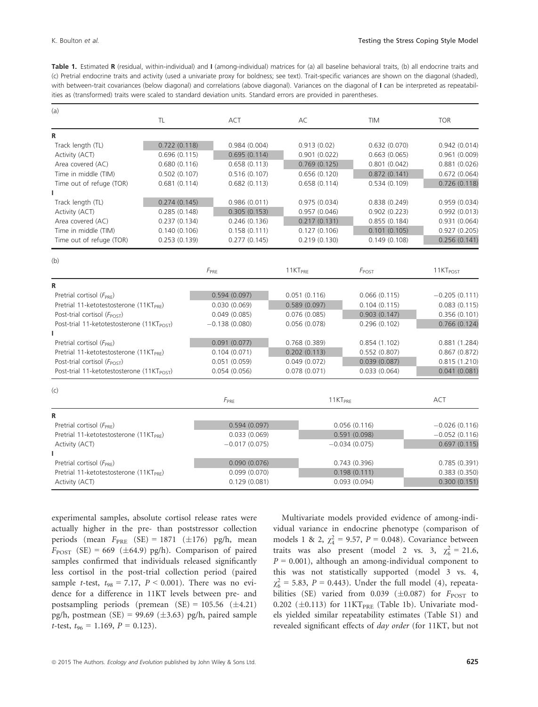Table 1. Estimated R (residual, within-individual) and I (among-individual) matrices for (a) all baseline behavioral traits, (b) all endocrine traits and (c) Pretrial endocrine traits and activity (used a univariate proxy for boldness; see text). Trait-specific variances are shown on the diagonal (shaded), with between-trait covariances (below diagonal) and correlations (above diagonal). Variances on the diagonal of I can be interpreted as repeatabilities as (transformed) traits were scaled to standard deviation units. Standard errors are provided in parentheses.

| (a)                                                    |              |                 |                     |                                              |                                              |
|--------------------------------------------------------|--------------|-----------------|---------------------|----------------------------------------------|----------------------------------------------|
|                                                        | TL           | <b>ACT</b>      | AC                  | TIM                                          | <b>TOR</b>                                   |
| R                                                      |              |                 |                     |                                              |                                              |
| Track length (TL)<br>0.722(0.118)                      |              | 0.984(0.004)    | 0.913(0.02)         | 0.632(0.070)                                 | 0.942(0.014)                                 |
| Activity (ACT)<br>0.696(0.115)                         |              | 0.695(0.114)    | 0.901(0.022)        | 0.663(0.065)                                 | 0.961(0.009)                                 |
| Area covered (AC)                                      | 0.680(0.116) | 0.658(0.113)    | 0.769(0.125)        | 0.801(0.042)                                 | 0.881(0.026)                                 |
| Time in middle (TIM)<br>0.502(0.107)                   |              | 0.516(0.107)    | 0.656(0.120)        | 0.872(0.141)                                 | 0.672(0.064)                                 |
| Time out of refuge (TOR)                               | 0.681(0.114) | 0.682(0.113)    | 0.658(0.114)        | 0.534(0.109)                                 | 0.726(0.118)                                 |
|                                                        |              |                 |                     |                                              |                                              |
| Track length (TL)                                      | 0.274(0.145) | 0.986(0.011)    | 0.975(0.034)        | 0.838(0.249)                                 | 0.959(0.034)                                 |
| Activity (ACT)                                         | 0.285(0.148) | 0.305(0.153)    | 0.957(0.046)        | 0.902(0.223)<br>0.855(0.184)<br>0.101(0.105) | 0.992(0.013)<br>0.931(0.064)<br>0.927(0.205) |
| Area covered (AC)                                      | 0.237(0.134) | 0.246(0.136)    | 0.217(0.131)        |                                              |                                              |
| Time in middle (TIM)                                   | 0.140(0.106) | 0.158(0.111)    | 0.127(0.106)        |                                              |                                              |
| Time out of refuge (TOR)                               | 0.253(0.139) | 0.277(0.145)    | 0.219(0.130)        | 0.149(0.108)                                 | 0.256(0.141)                                 |
| (b)                                                    |              |                 |                     |                                              |                                              |
|                                                        |              | $F_{PRE}$       | 11KT <sub>PRE</sub> | $F_{\text{POST}}$                            | 11KT <sub>POST</sub>                         |
| R                                                      |              |                 |                     |                                              |                                              |
| Pretrial cortisol (F <sub>PRE</sub> )                  |              | 0.594(0.097)    | 0.051(0.116)        | 0.066(0.115)                                 | $-0.205(0.111)$                              |
| Pretrial 11-ketotestosterone (11KT <sub>PRF</sub> )    |              | 0.030(0.069)    | 0.589(0.097)        | 0.104(0.115)                                 | 0.083(0.115)                                 |
| Post-trial cortisol (F <sub>POST</sub> )               |              | 0.049(0.085)    | 0.076(0.085)        | 0.903(0.147)                                 | 0.356(0.101)                                 |
| Post-trial 11-ketotestosterone (11KT <sub>POST</sub> ) |              | $-0.138(0.080)$ | 0.056(0.078)        | 0.296(0.102)                                 | 0.766(0.124)                                 |
| ı                                                      |              |                 |                     |                                              |                                              |
| Pretrial cortisol (F <sub>PRF</sub> )                  |              | 0.091(0.077)    | 0.768(0.389)        | 0.854(1.102)                                 | 0.881(1.284)                                 |
| Pretrial 11-ketotestosterone (11KT <sub>PRF</sub> )    |              | 0.104(0.071)    | 0.202(0.113)        | 0.552(0.807)                                 | 0.867(0.872)                                 |
| Post-trial cortisol (F <sub>POST</sub> )               |              | 0.051(0.059)    | 0.049(0.072)        | 0.039(0.087)                                 | 0.815(1.210)                                 |
| Post-trial 11-ketotestosterone (11KT <sub>POST</sub> ) |              | 0.054(0.056)    | 0.078(0.071)        | 0.033(0.064)                                 | 0.041(0.081)                                 |
| (c)                                                    |              |                 |                     |                                              |                                              |
|                                                        |              | $F_{PRE}$       | 11KT <sub>PRF</sub> |                                              | <b>ACT</b>                                   |
| R                                                      |              |                 |                     |                                              |                                              |
| Pretrial cortisol $(F_{PRE})$                          |              | 0.594(0.097)    |                     | 0.056(0.116)                                 | $-0.026(0.116)$                              |
| Pretrial 11-ketotestosterone (11KT <sub>PRF</sub> )    |              | 0.033(0.069)    |                     | 0.591(0.098)                                 | $-0.052(0.116)$                              |
| Activity (ACT)                                         |              | $-0.017(0.075)$ |                     | $-0.034(0.075)$                              | 0.697(0.115)                                 |
| L                                                      |              |                 |                     |                                              |                                              |
| Pretrial cortisol $(F_{PRE})$                          |              | 0.090(0.076)    |                     | 0.743(0.396)                                 | 0.785(0.391)                                 |
| Pretrial 11-ketotestosterone (11KT <sub>PRF</sub> )    |              | 0.099(0.070)    |                     | 0.198(0.111)                                 | 0.383(0.350)                                 |
| Activity (ACT)                                         |              | 0.129(0.081)    |                     | 0.093(0.094)                                 | 0.300(0.151)                                 |
|                                                        |              |                 |                     |                                              |                                              |

experimental samples, absolute cortisol release rates were actually higher in the pre- than poststressor collection periods (mean  $F_{PRE}$  (SE) = 1871 ( $\pm$ 176) pg/h, mean  $F_{\text{POST}}$  (SE) = 669 ( $\pm$ 64.9) pg/h). Comparison of paired samples confirmed that individuals released significantly less cortisol in the post-trial collection period (paired sample t-test,  $t_{98} = 7.17$ ,  $P < 0.001$ ). There was no evidence for a difference in 11KT levels between pre- and postsampling periods (premean  $(SE) = 105.56 \ (\pm 4.21)$ pg/h, postmean (SE) = 99.69 ( $\pm$ 3.63) pg/h, paired sample t-test,  $t_{96} = 1.169$ ,  $P = 0.123$ ).

Multivariate models provided evidence of among-individual variance in endocrine phenotype (comparison of models 1 & 2,  $\chi^2_4 = 9.57$ ,  $P = 0.048$ ). Covariance between traits was also present (model 2 vs. 3,  $\chi_6^2 = 21.6$ ,  $P = 0.001$ ), although an among-individual component to this was not statistically supported (model 3 vs. 4,  $\chi_6^2 = 5.83, \ P = 0.443$ . Under the full model (4), repeatabilities (SE) varied from 0.039 ( $\pm$ 0.087) for  $F_{\text{POST}}$  to 0.202 ( $\pm$ 0.113) for 11KT<sub>PRE</sub> (Table 1b). Univariate models yielded similar repeatability estimates (Table S1) and revealed significant effects of day order (for 11KT, but not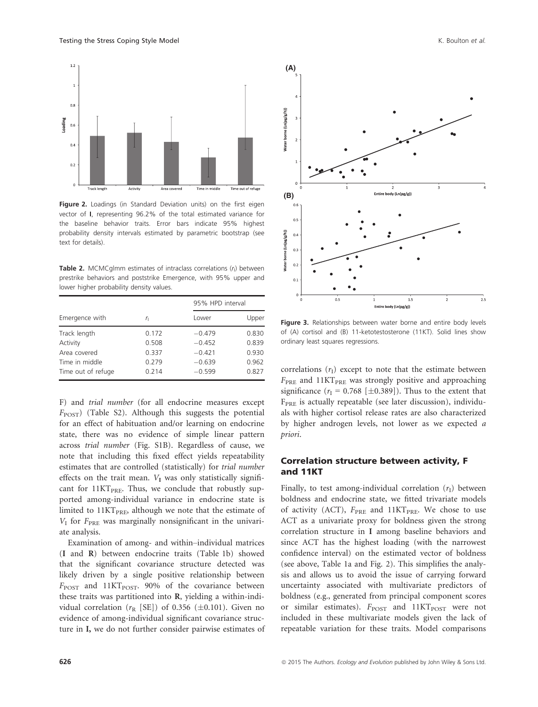

Figure 2. Loadings (in Standard Deviation units) on the first eigen vector of I, representing 96.2% of the total estimated variance for the baseline behavior traits. Error bars indicate 95% highest probability density intervals estimated by parametric bootstrap (see text for details).

**Table 2.** MCMCglmm estimates of intraclass correlations  $(r<sub>1</sub>)$  between prestrike behaviors and poststrike Emergence, with 95% upper and lower higher probability density values.

|                    |       | 95% HPD interval |       |  |
|--------------------|-------|------------------|-------|--|
| Emergence with     | r,    | Lower            | Upper |  |
| Track length       | 0.172 | $-0.479$         | 0.830 |  |
| Activity           | 0.508 | $-0.452$         | 0.839 |  |
| Area covered       | 0.337 | $-0.421$         | 0.930 |  |
| Time in middle     | 0.279 | $-0.639$         | 0.962 |  |
| Time out of refuge | 0.214 | $-0.599$         | 0.827 |  |

F) and trial number (for all endocrine measures except  $F_{\text{POST}}$ ) (Table S2). Although this suggests the potential for an effect of habituation and/or learning on endocrine state, there was no evidence of simple linear pattern across trial number (Fig. S1B). Regardless of cause, we note that including this fixed effect yields repeatability estimates that are controlled (statistically) for trial number effects on the trait mean.  $V_I$  was only statistically significant for  $11KT_{PRE}$ . Thus, we conclude that robustly supported among-individual variance in endocrine state is limited to  $11KT<sub>PRE</sub>$ , although we note that the estimate of  $V_I$  for  $F_{\text{PRE}}$  was marginally nonsignificant in the univariate analysis.

Examination of among- and within–individual matrices (I and R) between endocrine traits (Table 1b) showed that the significant covariance structure detected was likely driven by a single positive relationship between  $F_{\text{POST}}$  and 11KT<sub>POST</sub>. 90% of the covariance between these traits was partitioned into R, yielding a within-individual correlation ( $r_R$  [SE]) of 0.356 ( $\pm$ 0.101). Given no evidence of among-individual significant covariance structure in I, we do not further consider pairwise estimates of



Figure 3. Relationships between water borne and entire body levels of (A) cortisol and (B) 11-ketotestosterone (11KT). Solid lines show ordinary least squares regressions.

correlations  $(r<sub>I</sub>)$  except to note that the estimate between  $F_{\text{PRE}}$  and 11KT<sub>PRE</sub> was strongly positive and approaching significance ( $r_1 = 0.768$  [ $\pm 0.389$ ]). Thus to the extent that  $F_{PRE}$  is actually repeatable (see later discussion), individuals with higher cortisol release rates are also characterized by higher androgen levels, not lower as we expected a priori.

### Correlation structure between activity, F and 11KT

Finally, to test among-individual correlation  $(r<sub>I</sub>)$  between boldness and endocrine state, we fitted trivariate models of activity (ACT),  $F_{\text{PRE}}$  and  $11\text{KT}_{\text{PRE}}$ . We chose to use ACT as a univariate proxy for boldness given the strong correlation structure in I among baseline behaviors and since ACT has the highest loading (with the narrowest confidence interval) on the estimated vector of boldness (see above, Table 1a and Fig. 2). This simplifies the analysis and allows us to avoid the issue of carrying forward uncertainty associated with multivariate predictors of boldness (e.g., generated from principal component scores or similar estimates).  $F_{\text{POST}}$  and  $11KT_{\text{POST}}$  were not included in these multivariate models given the lack of repeatable variation for these traits. Model comparisons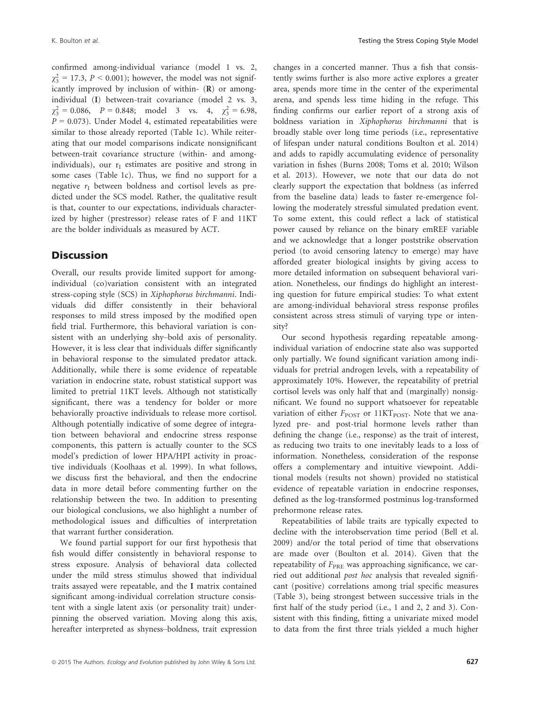confirmed among-individual variance (model 1 vs. 2,  $\chi_3^2 = 17.3$ ,  $P < 0.001$ ); however, the model was not significantly improved by inclusion of within- (R) or amongindividual (I) between-trait covariance (model 2 vs. 3,  $\chi_3^2 = 0.086$ ,  $P = 0.848$ ; model 3 vs. 4,  $\chi_3^2 = 6.98$ ,  $P = 0.073$ ). Under Model 4, estimated repeatabilities were similar to those already reported (Table 1c). While reiterating that our model comparisons indicate nonsignificant between-trait covariance structure (within- and amongindividuals), our  $r<sub>I</sub>$  estimates are positive and strong in some cases (Table 1c). Thus, we find no support for a negative  $r_I$  between boldness and cortisol levels as predicted under the SCS model. Rather, the qualitative result is that, counter to our expectations, individuals characterized by higher (prestressor) release rates of F and 11KT are the bolder individuals as measured by ACT.

## **Discussion**

Overall, our results provide limited support for amongindividual (co)variation consistent with an integrated stress-coping style (SCS) in Xiphophorus birchmanni. Individuals did differ consistently in their behavioral responses to mild stress imposed by the modified open field trial. Furthermore, this behavioral variation is consistent with an underlying shy–bold axis of personality. However, it is less clear that individuals differ significantly in behavioral response to the simulated predator attack. Additionally, while there is some evidence of repeatable variation in endocrine state, robust statistical support was limited to pretrial 11KT levels. Although not statistically significant, there was a tendency for bolder or more behaviorally proactive individuals to release more cortisol. Although potentially indicative of some degree of integration between behavioral and endocrine stress response components, this pattern is actually counter to the SCS model's prediction of lower HPA/HPI activity in proactive individuals (Koolhaas et al. 1999). In what follows, we discuss first the behavioral, and then the endocrine data in more detail before commenting further on the relationship between the two. In addition to presenting our biological conclusions, we also highlight a number of methodological issues and difficulties of interpretation that warrant further consideration.

We found partial support for our first hypothesis that fish would differ consistently in behavioral response to stress exposure. Analysis of behavioral data collected under the mild stress stimulus showed that individual traits assayed were repeatable, and the I matrix contained significant among-individual correlation structure consistent with a single latent axis (or personality trait) underpinning the observed variation. Moving along this axis, hereafter interpreted as shyness–boldness, trait expression changes in a concerted manner. Thus a fish that consistently swims further is also more active explores a greater area, spends more time in the center of the experimental arena, and spends less time hiding in the refuge. This finding confirms our earlier report of a strong axis of boldness variation in Xiphophorus birchmanni that is broadly stable over long time periods (i.e., representative of lifespan under natural conditions Boulton et al. 2014) and adds to rapidly accumulating evidence of personality variation in fishes (Burns 2008; Toms et al. 2010; Wilson et al. 2013). However, we note that our data do not clearly support the expectation that boldness (as inferred from the baseline data) leads to faster re-emergence following the moderately stressful simulated predation event. To some extent, this could reflect a lack of statistical power caused by reliance on the binary emREF variable and we acknowledge that a longer poststrike observation period (to avoid censoring latency to emerge) may have afforded greater biological insights by giving access to more detailed information on subsequent behavioral variation. Nonetheless, our findings do highlight an interesting question for future empirical studies: To what extent are among-individual behavioral stress response profiles consistent across stress stimuli of varying type or intensity?

Our second hypothesis regarding repeatable amongindividual variation of endocrine state also was supported only partially. We found significant variation among individuals for pretrial androgen levels, with a repeatability of approximately 10%. However, the repeatability of pretrial cortisol levels was only half that and (marginally) nonsignificant. We found no support whatsoever for repeatable variation of either  $F_{\text{POST}}$  or 11KT<sub>POST</sub>. Note that we analyzed pre- and post-trial hormone levels rather than defining the change (i.e., response) as the trait of interest, as reducing two traits to one inevitably leads to a loss of information. Nonetheless, consideration of the response offers a complementary and intuitive viewpoint. Additional models (results not shown) provided no statistical evidence of repeatable variation in endocrine responses, defined as the log-transformed postminus log-transformed prehormone release rates.

Repeatabilities of labile traits are typically expected to decline with the interobservation time period (Bell et al. 2009) and/or the total period of time that observations are made over (Boulton et al. 2014). Given that the repeatability of  $F_{PRE}$  was approaching significance, we carried out additional post hoc analysis that revealed significant (positive) correlations among trial specific measures (Table 3), being strongest between successive trials in the first half of the study period (i.e., 1 and 2, 2 and 3). Consistent with this finding, fitting a univariate mixed model to data from the first three trials yielded a much higher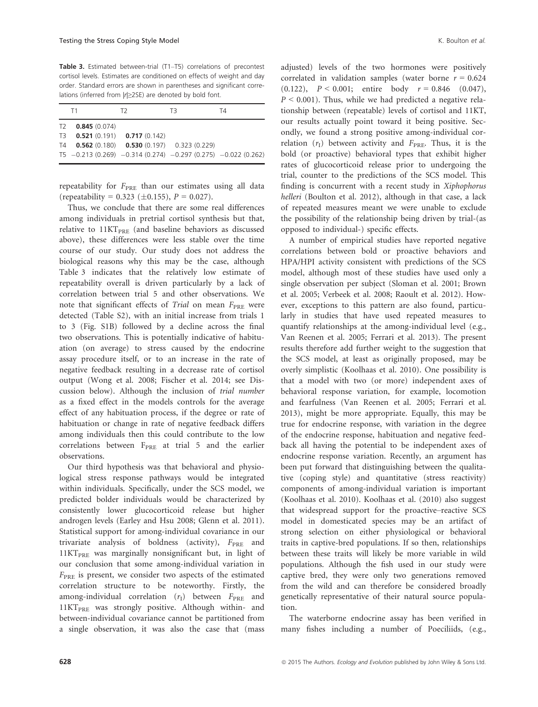Table 3. Estimated between-trial (T1-T5) correlations of precontest cortisol levels. Estimates are conditioned on effects of weight and day order. Standard errors are shown in parentheses and significant correlations (inferred from |r|≥2SE) are denoted by bold font.

|                | T1                               | T2                                                               | TЗ | T4 |  |
|----------------|----------------------------------|------------------------------------------------------------------|----|----|--|
| T <sub>2</sub> | 0.845(0.074)                     |                                                                  |    |    |  |
|                | $T3$ 0.521 (0.191) 0.717 (0.142) |                                                                  |    |    |  |
| T4             |                                  | <b>0.562</b> (0.180) <b>0.530</b> (0.197) 0.323 (0.229)          |    |    |  |
|                |                                  | $T5 - 0.213(0.269) - 0.314(0.274) - 0.297(0.275) - 0.022(0.262)$ |    |    |  |

repeatability for  $F_{\text{PRE}}$  than our estimates using all data (repeatability = 0.323 ( $\pm$ 0.155), P = 0.027).

Thus, we conclude that there are some real differences among individuals in pretrial cortisol synthesis but that, relative to  $11KT<sub>PRE</sub>$  (and baseline behaviors as discussed above), these differences were less stable over the time course of our study. Our study does not address the biological reasons why this may be the case, although Table 3 indicates that the relatively low estimate of repeatability overall is driven particularly by a lack of correlation between trial 5 and other observations. We note that significant effects of Trial on mean  $F_{PRE}$  were detected (Table S2), with an initial increase from trials 1 to 3 (Fig. S1B) followed by a decline across the final two observations. This is potentially indicative of habituation (on average) to stress caused by the endocrine assay procedure itself, or to an increase in the rate of negative feedback resulting in a decrease rate of cortisol output (Wong et al. 2008; Fischer et al. 2014; see Discussion below). Although the inclusion of trial number as a fixed effect in the models controls for the average effect of any habituation process, if the degree or rate of habituation or change in rate of negative feedback differs among individuals then this could contribute to the low correlations between  $F_{PRE}$  at trial 5 and the earlier observations.

Our third hypothesis was that behavioral and physiological stress response pathways would be integrated within individuals. Specifically, under the SCS model, we predicted bolder individuals would be characterized by consistently lower glucocorticoid release but higher androgen levels (Earley and Hsu 2008; Glenn et al. 2011). Statistical support for among-individual covariance in our trivariate analysis of boldness (activity),  $F_{\text{PRE}}$  and  $11KT<sub>PRE</sub>$  was marginally nonsignificant but, in light of our conclusion that some among-individual variation in  $F_{\text{PRE}}$  is present, we consider two aspects of the estimated correlation structure to be noteworthy. Firstly, the among-individual correlation  $(r_I)$  between  $F_{\text{PRE}}$  and  $11KT<sub>PRE</sub>$  was strongly positive. Although within- and between-individual covariance cannot be partitioned from a single observation, it was also the case that (mass adjusted) levels of the two hormones were positively correlated in validation samples (water borne  $r = 0.624$ )  $(0.122)$ ,  $P < 0.001$ ; entire body  $r = 0.846$   $(0.047)$ ,  $P \le 0.001$ ). Thus, while we had predicted a negative relationship between (repeatable) levels of cortisol and 11KT, our results actually point toward it being positive. Secondly, we found a strong positive among-individual correlation  $(r<sub>I</sub>)$  between activity and  $F<sub>PRF</sub>$ . Thus, it is the bold (or proactive) behavioral types that exhibit higher rates of glucocorticoid release prior to undergoing the trial, counter to the predictions of the SCS model. This finding is concurrent with a recent study in Xiphophorus helleri (Boulton et al. 2012), although in that case, a lack of repeated measures meant we were unable to exclude the possibility of the relationship being driven by trial-(as opposed to individual-) specific effects.

A number of empirical studies have reported negative correlations between bold or proactive behaviors and HPA/HPI activity consistent with predictions of the SCS model, although most of these studies have used only a single observation per subject (Sloman et al. 2001; Brown et al. 2005; Verbeek et al. 2008; Raoult et al. 2012). However, exceptions to this pattern are also found, particularly in studies that have used repeated measures to quantify relationships at the among-individual level (e.g., Van Reenen et al. 2005; Ferrari et al. 2013). The present results therefore add further weight to the suggestion that the SCS model, at least as originally proposed, may be overly simplistic (Koolhaas et al. 2010). One possibility is that a model with two (or more) independent axes of behavioral response variation, for example, locomotion and fearfulness (Van Reenen et al. 2005; Ferrari et al. 2013), might be more appropriate. Equally, this may be true for endocrine response, with variation in the degree of the endocrine response, habituation and negative feedback all having the potential to be independent axes of endocrine response variation. Recently, an argument has been put forward that distinguishing between the qualitative (coping style) and quantitative (stress reactivity) components of among-individual variation is important (Koolhaas et al. 2010). Koolhaas et al. (2010) also suggest that widespread support for the proactive–reactive SCS model in domesticated species may be an artifact of strong selection on either physiological or behavioral traits in captive-bred populations. If so then, relationships between these traits will likely be more variable in wild populations. Although the fish used in our study were captive bred, they were only two generations removed from the wild and can therefore be considered broadly genetically representative of their natural source population.

The waterborne endocrine assay has been verified in many fishes including a number of Poeciliids, (e.g.,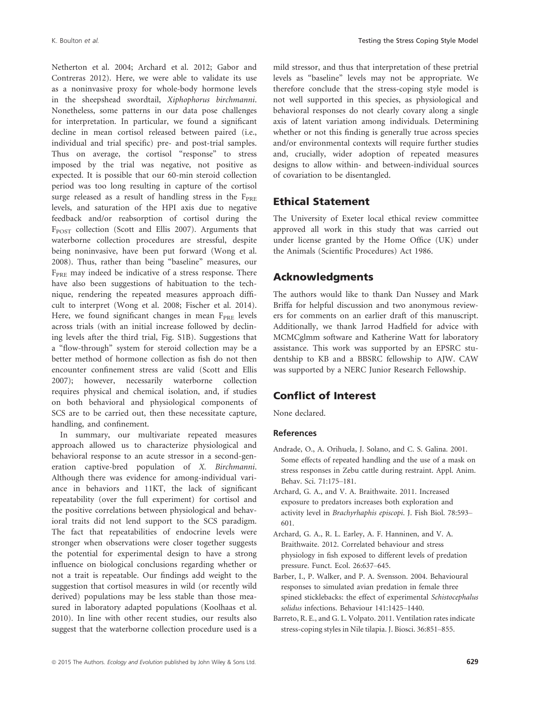Netherton et al. 2004; Archard et al. 2012; Gabor and Contreras 2012). Here, we were able to validate its use as a noninvasive proxy for whole-body hormone levels in the sheepshead swordtail, Xiphophorus birchmanni. Nonetheless, some patterns in our data pose challenges for interpretation. In particular, we found a significant decline in mean cortisol released between paired (i.e., individual and trial specific) pre- and post-trial samples. Thus on average, the cortisol "response" to stress imposed by the trial was negative, not positive as expected. It is possible that our 60-min steroid collection period was too long resulting in capture of the cortisol surge released as a result of handling stress in the  $F_{PRE}$ levels, and saturation of the HPI axis due to negative feedback and/or reabsorption of cortisol during the F<sub>POST</sub> collection (Scott and Ellis 2007). Arguments that waterborne collection procedures are stressful, despite being noninvasive, have been put forward (Wong et al. 2008). Thus, rather than being "baseline" measures, our  $F_{PRE}$  may indeed be indicative of a stress response. There have also been suggestions of habituation to the technique, rendering the repeated measures approach difficult to interpret (Wong et al. 2008; Fischer et al. 2014). Here, we found significant changes in mean  $F_{PRE}$  levels across trials (with an initial increase followed by declining levels after the third trial, Fig. S1B). Suggestions that a "flow-through" system for steroid collection may be a better method of hormone collection as fish do not then encounter confinement stress are valid (Scott and Ellis 2007); however, necessarily waterborne collection requires physical and chemical isolation, and, if studies on both behavioral and physiological components of SCS are to be carried out, then these necessitate capture, handling, and confinement.

In summary, our multivariate repeated measures approach allowed us to characterize physiological and behavioral response to an acute stressor in a second-generation captive-bred population of X. Birchmanni. Although there was evidence for among-individual variance in behaviors and 11KT, the lack of significant repeatability (over the full experiment) for cortisol and the positive correlations between physiological and behavioral traits did not lend support to the SCS paradigm. The fact that repeatabilities of endocrine levels were stronger when observations were closer together suggests the potential for experimental design to have a strong influence on biological conclusions regarding whether or not a trait is repeatable. Our findings add weight to the suggestion that cortisol measures in wild (or recently wild derived) populations may be less stable than those measured in laboratory adapted populations (Koolhaas et al. 2010). In line with other recent studies, our results also suggest that the waterborne collection procedure used is a mild stressor, and thus that interpretation of these pretrial levels as "baseline" levels may not be appropriate. We therefore conclude that the stress-coping style model is not well supported in this species, as physiological and behavioral responses do not clearly covary along a single axis of latent variation among individuals. Determining whether or not this finding is generally true across species and/or environmental contexts will require further studies and, crucially, wider adoption of repeated measures designs to allow within- and between-individual sources of covariation to be disentangled.

## Ethical Statement

The University of Exeter local ethical review committee approved all work in this study that was carried out under license granted by the Home Office (UK) under the Animals (Scientific Procedures) Act 1986.

## Acknowledgments

The authors would like to thank Dan Nussey and Mark Briffa for helpful discussion and two anonymous reviewers for comments on an earlier draft of this manuscript. Additionally, we thank Jarrod Hadfield for advice with MCMCglmm software and Katherine Watt for laboratory assistance. This work was supported by an EPSRC studentship to KB and a BBSRC fellowship to AJW. CAW was supported by a NERC Junior Research Fellowship.

## Conflict of Interest

None declared.

#### References

- Andrade, O., A. Orihuela, J. Solano, and C. S. Galina. 2001. Some effects of repeated handling and the use of a mask on stress responses in Zebu cattle during restraint. Appl. Anim. Behav. Sci. 71:175–181.
- Archard, G. A., and V. A. Braithwaite. 2011. Increased exposure to predators increases both exploration and activity level in Brachyrhaphis episcopi. J. Fish Biol. 78:593– 601.
- Archard, G. A., R. L. Earley, A. F. Hanninen, and V. A. Braithwaite. 2012. Correlated behaviour and stress physiology in fish exposed to different levels of predation pressure. Funct. Ecol. 26:637–645.
- Barber, I., P. Walker, and P. A. Svensson. 2004. Behavioural responses to simulated avian predation in female three spined sticklebacks: the effect of experimental Schistocephalus solidus infections. Behaviour 141:1425–1440.
- Barreto, R. E., and G. L. Volpato. 2011. Ventilation rates indicate stress-coping styles in Nile tilapia. J. Biosci. 36:851–855.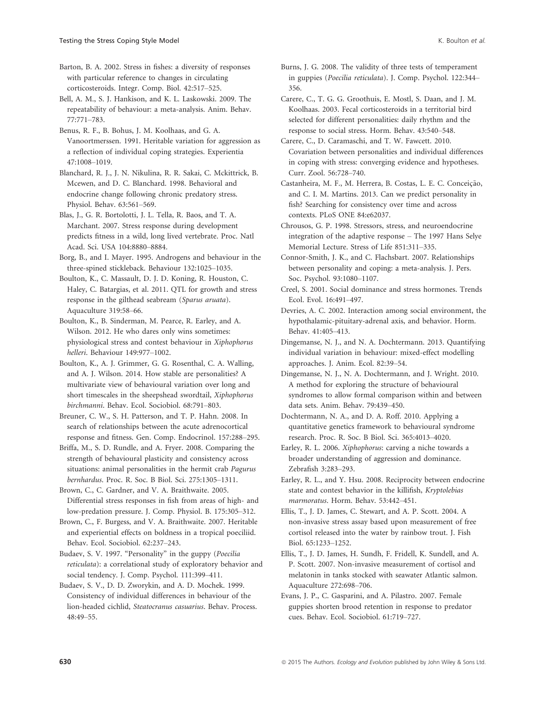Barton, B. A. 2002. Stress in fishes: a diversity of responses with particular reference to changes in circulating corticosteroids. Integr. Comp. Biol. 42:517–525.

Bell, A. M., S. J. Hankison, and K. L. Laskowski. 2009. The repeatability of behaviour: a meta-analysis. Anim. Behav. 77:771–783.

Benus, R. F., B. Bohus, J. M. Koolhaas, and G. A. Vanoortmerssen. 1991. Heritable variation for aggression as a reflection of individual coping strategies. Experientia 47:1008–1019.

Blanchard, R. J., J. N. Nikulina, R. R. Sakai, C. Mckittrick, B. Mcewen, and D. C. Blanchard. 1998. Behavioral and endocrine change following chronic predatory stress. Physiol. Behav. 63:561–569.

Blas, J., G. R. Bortolotti, J. L. Tella, R. Baos, and T. A. Marchant. 2007. Stress response during development predicts fitness in a wild, long lived vertebrate. Proc. Natl Acad. Sci. USA 104:8880–8884.

Borg, B., and I. Mayer. 1995. Androgens and behaviour in the three-spined stickleback. Behaviour 132:1025–1035.

Boulton, K., C. Massault, D. J. D. Koning, R. Houston, C. Haley, C. Batargias, et al. 2011. QTL for growth and stress response in the gilthead seabream (Sparus aruata). Aquaculture 319:58–66.

Boulton, K., B. Sinderman, M. Pearce, R. Earley, and A. Wilson. 2012. He who dares only wins sometimes: physiological stress and contest behaviour in Xiphophorus helleri. Behaviour 149:977–1002.

Boulton, K., A. J. Grimmer, G. G. Rosenthal, C. A. Walling, and A. J. Wilson. 2014. How stable are personalities? A multivariate view of behavioural variation over long and short timescales in the sheepshead swordtail, Xiphophorus birchmanni. Behav. Ecol. Sociobiol. 68:791–803.

Breuner, C. W., S. H. Patterson, and T. P. Hahn. 2008. In search of relationships between the acute adrenocortical response and fitness. Gen. Comp. Endocrinol. 157:288–295.

Briffa, M., S. D. Rundle, and A. Fryer. 2008. Comparing the strength of behavioural plasticity and consistency across situations: animal personalities in the hermit crab Pagurus bernhardus. Proc. R. Soc. B Biol. Sci. 275:1305–1311.

Brown, C., C. Gardner, and V. A. Braithwaite. 2005. Differential stress responses in fish from areas of high- and low-predation pressure. J. Comp. Physiol. B. 175:305–312.

Brown, C., F. Burgess, and V. A. Braithwaite. 2007. Heritable and experiential effects on boldness in a tropical poeciliid. Behav. Ecol. Sociobiol. 62:237–243.

Budaev, S. V. 1997. "Personality" in the guppy (Poecilia reticulata): a correlational study of exploratory behavior and social tendency. J. Comp. Psychol. 111:399–411.

Budaev, S. V., D. D. Zworykin, and A. D. Mochek. 1999. Consistency of individual differences in behaviour of the lion-headed cichlid, Steatocranus casuarius. Behav. Process. 48:49–55.

Burns, J. G. 2008. The validity of three tests of temperament in guppies (Poecilia reticulata). J. Comp. Psychol. 122:344– 356.

Carere, C., T. G. G. Groothuis, E. Mostl, S. Daan, and J. M. Koolhaas. 2003. Fecal corticosteroids in a territorial bird selected for different personalities: daily rhythm and the response to social stress. Horm. Behav. 43:540–548.

Carere, C., D. Caramaschi, and T. W. Fawcett. 2010. Covariation between personalities and individual differences in coping with stress: converging evidence and hypotheses. Curr. Zool. 56:728–740.

Castanheira, M. F., M. Herrera, B. Costas, L. E. C. Conceição, and C. I. M. Martins. 2013. Can we predict personality in fish? Searching for consistency over time and across contexts. PLoS ONE 84:e62037.

Chrousos, G. P. 1998. Stressors, stress, and neuroendocrine integration of the adaptive response – The 1997 Hans Selye Memorial Lecture. Stress of Life 851:311–335.

Connor-Smith, J. K., and C. Flachsbart. 2007. Relationships between personality and coping: a meta-analysis. J. Pers. Soc. Psychol. 93:1080–1107.

Creel, S. 2001. Social dominance and stress hormones. Trends Ecol. Evol. 16:491–497.

Devries, A. C. 2002. Interaction among social environment, the hypothalamic-pituitary-adrenal axis, and behavior. Horm. Behav. 41:405–413.

Dingemanse, N. J., and N. A. Dochtermann. 2013. Quantifying individual variation in behaviour: mixed-effect modelling approaches. J. Anim. Ecol. 82:39–54.

Dingemanse, N. J., N. A. Dochtermann, and J. Wright. 2010. A method for exploring the structure of behavioural syndromes to allow formal comparison within and between data sets. Anim. Behav. 79:439–450.

Dochtermann, N. A., and D. A. Roff. 2010. Applying a quantitative genetics framework to behavioural syndrome research. Proc. R. Soc. B Biol. Sci. 365:4013–4020.

Earley, R. L. 2006. Xiphophorus: carving a niche towards a broader understanding of aggression and dominance. Zebrafish 3:283–293.

Earley, R. L., and Y. Hsu. 2008. Reciprocity between endocrine state and contest behavior in the killifish, Kryptolebias marmoratus. Horm. Behav. 53:442–451.

Ellis, T., J. D. James, C. Stewart, and A. P. Scott. 2004. A non-invasive stress assay based upon measurement of free cortisol released into the water by rainbow trout. J. Fish Biol. 65:1233–1252.

Ellis, T., J. D. James, H. Sundh, F. Fridell, K. Sundell, and A. P. Scott. 2007. Non-invasive measurement of cortisol and melatonin in tanks stocked with seawater Atlantic salmon. Aquaculture 272:698–706.

Evans, J. P., C. Gasparini, and A. Pilastro. 2007. Female guppies shorten brood retention in response to predator cues. Behav. Ecol. Sociobiol. 61:719–727.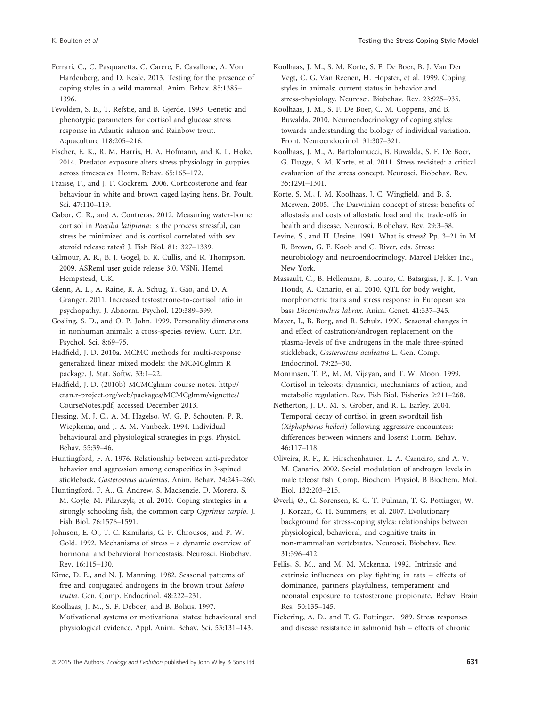Ferrari, C., C. Pasquaretta, C. Carere, E. Cavallone, A. Von Hardenberg, and D. Reale. 2013. Testing for the presence of coping styles in a wild mammal. Anim. Behav. 85:1385– 1396.

Fevolden, S. E., T. Refstie, and B. Gjerde. 1993. Genetic and phenotypic parameters for cortisol and glucose stress response in Atlantic salmon and Rainbow trout. Aquaculture 118:205–216.

Fischer, E. K., R. M. Harris, H. A. Hofmann, and K. L. Hoke. 2014. Predator exposure alters stress physiology in guppies across timescales. Horm. Behav. 65:165–172.

Fraisse, F., and J. F. Cockrem. 2006. Corticosterone and fear behaviour in white and brown caged laying hens. Br. Poult. Sci. 47:110–119.

Gabor, C. R., and A. Contreras. 2012. Measuring water-borne cortisol in Poecilia latipinna: is the process stressful, can stress be minimized and is cortisol correlated with sex steroid release rates? J. Fish Biol. 81:1327–1339.

Gilmour, A. R., B. J. Gogel, B. R. Cullis, and R. Thompson. 2009. ASReml user guide release 3.0. VSNi, Hemel Hempstead, U.K.

Glenn, A. L., A. Raine, R. A. Schug, Y. Gao, and D. A. Granger. 2011. Increased testosterone-to-cortisol ratio in psychopathy. J. Abnorm. Psychol. 120:389–399.

Gosling, S. D., and O. P. John. 1999. Personality dimensions in nonhuman animals: a cross-species review. Curr. Dir. Psychol. Sci. 8:69–75.

Hadfield, J. D. 2010a. MCMC methods for multi-response generalized linear mixed models: the MCMCglmm R package. J. Stat. Softw. 33:1–22.

Hadfield, J. D. (2010b) MCMCglmm course notes. [http://](http://cran.r-project.org/web/packages/MCMCglmm/vignettes/CourseNotes.pdf) [cran.r-project.org/web/packages/MCMCglmm/vignettes/](http://cran.r-project.org/web/packages/MCMCglmm/vignettes/CourseNotes.pdf) [CourseNotes.pdf](http://cran.r-project.org/web/packages/MCMCglmm/vignettes/CourseNotes.pdf), accessed December 2013.

Hessing, M. J. C., A. M. Hagelso, W. G. P. Schouten, P. R. Wiepkema, and J. A. M. Vanbeek. 1994. Individual behavioural and physiological strategies in pigs. Physiol. Behav. 55:39–46.

Huntingford, F. A. 1976. Relationship between anti-predator behavior and aggression among conspecifics in 3-spined stickleback, Gasterosteus aculeatus. Anim. Behav. 24:245–260.

Huntingford, F. A., G. Andrew, S. Mackenzie, D. Morera, S. M. Coyle, M. Pilarczyk, et al. 2010. Coping strategies in a strongly schooling fish, the common carp Cyprinus carpio. J. Fish Biol. 76:1576–1591.

Johnson, E. O., T. C. Kamilaris, G. P. Chrousos, and P. W. Gold. 1992. Mechanisms of stress – a dynamic overview of hormonal and behavioral homeostasis. Neurosci. Biobehav. Rev. 16:115–130.

Kime, D. E., and N. J. Manning. 1982. Seasonal patterns of free and conjugated androgens in the brown trout Salmo trutta. Gen. Comp. Endocrinol. 48:222–231.

Koolhaas, J. M., S. F. Deboer, and B. Bohus. 1997. Motivational systems or motivational states: behavioural and physiological evidence. Appl. Anim. Behav. Sci. 53:131–143.

Koolhaas, J. M., S. M. Korte, S. F. De Boer, B. J. Van Der Vegt, C. G. Van Reenen, H. Hopster, et al. 1999. Coping styles in animals: current status in behavior and stress-physiology. Neurosci. Biobehav. Rev. 23:925–935.

Koolhaas, J. M., S. F. De Boer, C. M. Coppens, and B. Buwalda. 2010. Neuroendocrinology of coping styles: towards understanding the biology of individual variation. Front. Neuroendocrinol. 31:307–321.

Koolhaas, J. M., A. Bartolomucci, B. Buwalda, S. F. De Boer, G. Flugge, S. M. Korte, et al. 2011. Stress revisited: a critical evaluation of the stress concept. Neurosci. Biobehav. Rev. 35:1291–1301.

Korte, S. M., J. M. Koolhaas, J. C. Wingfield, and B. S. Mcewen. 2005. The Darwinian concept of stress: benefits of allostasis and costs of allostatic load and the trade-offs in health and disease. Neurosci. Biobehav. Rev. 29:3–38.

Levine, S., and H. Ursine. 1991. What is stress? Pp. 3–21 in M. R. Brown, G. F. Koob and C. River, eds. Stress: neurobiology and neuroendocrinology. Marcel Dekker Inc., New York.

Massault, C., B. Hellemans, B. Louro, C. Batargias, J. K. J. Van Houdt, A. Canario, et al. 2010. QTL for body weight, morphometric traits and stress response in European sea bass Dicentrarchus labrax. Anim. Genet. 41:337–345.

Mayer, I., B. Borg, and R. Schulz. 1990. Seasonal changes in and effect of castration/androgen replacement on the plasma-levels of five androgens in the male three-spined stickleback, Gasterosteus aculeatus L. Gen. Comp. Endocrinol. 79:23–30.

Mommsen, T. P., M. M. Vijayan, and T. W. Moon. 1999. Cortisol in teleosts: dynamics, mechanisms of action, and metabolic regulation. Rev. Fish Biol. Fisheries 9:211–268.

Netherton, J. D., M. S. Grober, and R. L. Earley. 2004. Temporal decay of cortisol in green swordtail fish (Xiphophorus helleri) following aggressive encounters: differences between winners and losers? Horm. Behav.  $46:117-118$ 

Oliveira, R. F., K. Hirschenhauser, L. A. Carneiro, and A. V. M. Canario. 2002. Social modulation of androgen levels in male teleost fish. Comp. Biochem. Physiol. B Biochem. Mol. Biol. 132:203–215.

Øverli, Ø., C. Sorensen, K. G. T. Pulman, T. G. Pottinger, W. J. Korzan, C. H. Summers, et al. 2007. Evolutionary background for stress-coping styles: relationships between physiological, behavioral, and cognitive traits in non-mammalian vertebrates. Neurosci. Biobehav. Rev. 31:396–412.

Pellis, S. M., and M. M. Mckenna. 1992. Intrinsic and extrinsic influences on play fighting in rats – effects of dominance, partners playfulness, temperament and neonatal exposure to testosterone propionate. Behav. Brain Res. 50:135–145.

Pickering, A. D., and T. G. Pottinger. 1989. Stress responses and disease resistance in salmonid fish – effects of chronic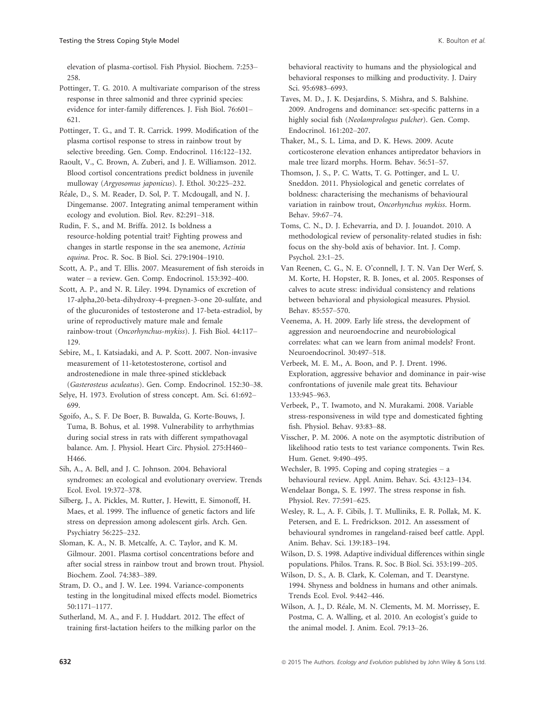elevation of plasma-cortisol. Fish Physiol. Biochem. 7:253– 258.

Pottinger, T. G. 2010. A multivariate comparison of the stress response in three salmonid and three cyprinid species: evidence for inter-family differences. J. Fish Biol. 76:601– 621.

Pottinger, T. G., and T. R. Carrick. 1999. Modification of the plasma cortisol response to stress in rainbow trout by selective breeding. Gen. Comp. Endocrinol. 116:122–132.

Raoult, V., C. Brown, A. Zuberi, and J. E. Williamson. 2012. Blood cortisol concentrations predict boldness in juvenile mulloway (Argyosomus japonicus). J. Ethol. 30:225–232.

Reale, D., S. M. Reader, D. Sol, P. T. Mcdougall, and N. J. Dingemanse. 2007. Integrating animal temperament within ecology and evolution. Biol. Rev. 82:291–318.

Rudin, F. S., and M. Briffa. 2012. Is boldness a resource-holding potential trait? Fighting prowess and changes in startle response in the sea anemone, Actinia equina. Proc. R. Soc. B Biol. Sci. 279:1904–1910.

Scott, A. P., and T. Ellis. 2007. Measurement of fish steroids in water – a review. Gen. Comp. Endocrinol. 153:392–400.

Scott, A. P., and N. R. Liley. 1994. Dynamics of excretion of 17-alpha,20-beta-dihydroxy-4-pregnen-3-one 20-sulfate, and of the glucuronides of testosterone and 17-beta-estradiol, by urine of reproductively mature male and female rainbow-trout (Oncorhynchus-mykiss). J. Fish Biol. 44:117– 129.

Sebire, M., I. Katsiadaki, and A. P. Scott. 2007. Non-invasive measurement of 11-ketotestosterone, cortisol and androstenedione in male three-spined stickleback (Gasterosteus aculeatus). Gen. Comp. Endocrinol. 152:30–38.

Selye, H. 1973. Evolution of stress concept. Am. Sci. 61:692– 699.

Sgoifo, A., S. F. De Boer, B. Buwalda, G. Korte-Bouws, J. Tuma, B. Bohus, et al. 1998. Vulnerability to arrhythmias during social stress in rats with different sympathovagal balance. Am. J. Physiol. Heart Circ. Physiol. 275:H460– H466.

Sih, A., A. Bell, and J. C. Johnson. 2004. Behavioral syndromes: an ecological and evolutionary overview. Trends Ecol. Evol. 19:372–378.

Silberg, J., A. Pickles, M. Rutter, J. Hewitt, E. Simonoff, H. Maes, et al. 1999. The influence of genetic factors and life stress on depression among adolescent girls. Arch. Gen. Psychiatry 56:225–232.

Sloman, K. A., N. B. Metcalfe, A. C. Taylor, and K. M. Gilmour. 2001. Plasma cortisol concentrations before and after social stress in rainbow trout and brown trout. Physiol. Biochem. Zool. 74:383–389.

Stram, D. O., and J. W. Lee. 1994. Variance-components testing in the longitudinal mixed effects model. Biometrics 50:1171–1177.

Sutherland, M. A., and F. J. Huddart. 2012. The effect of training first-lactation heifers to the milking parlor on the behavioral reactivity to humans and the physiological and behavioral responses to milking and productivity. J. Dairy Sci. 95:6983–6993.

Taves, M. D., J. K. Desjardins, S. Mishra, and S. Balshine. 2009. Androgens and dominance: sex-specific patterns in a highly social fish (Neolamprologus pulcher). Gen. Comp. Endocrinol. 161:202–207.

Thaker, M., S. L. Lima, and D. K. Hews. 2009. Acute corticosterone elevation enhances antipredator behaviors in male tree lizard morphs. Horm. Behav. 56:51–57.

Thomson, J. S., P. C. Watts, T. G. Pottinger, and L. U. Sneddon. 2011. Physiological and genetic correlates of boldness: characterising the mechanisms of behavioural variation in rainbow trout, Oncorhynchus mykiss. Horm. Behav. 59:67–74.

Toms, C. N., D. J. Echevarria, and D. J. Jouandot. 2010. A methodological review of personality-related studies in fish: focus on the shy-bold axis of behavior. Int. J. Comp. Psychol. 23:1–25.

Van Reenen, C. G., N. E. O'connell, J. T. N. Van Der Werf, S. M. Korte, H. Hopster, R. B. Jones, et al. 2005. Responses of calves to acute stress: individual consistency and relations between behavioral and physiological measures. Physiol. Behav. 85:557–570.

Veenema, A. H. 2009. Early life stress, the development of aggression and neuroendocrine and neurobiological correlates: what can we learn from animal models? Front. Neuroendocrinol. 30:497–518.

Verbeek, M. E. M., A. Boon, and P. J. Drent. 1996. Exploration, aggressive behavior and dominance in pair-wise confrontations of juvenile male great tits. Behaviour 133:945–963.

Verbeek, P., T. Iwamoto, and N. Murakami. 2008. Variable stress-responsiveness in wild type and domesticated fighting fish. Physiol. Behav. 93:83–88.

Visscher, P. M. 2006. A note on the asymptotic distribution of likelihood ratio tests to test variance components. Twin Res. Hum. Genet. 9:490–495.

Wechsler, B. 1995. Coping and coping strategies – a behavioural review. Appl. Anim. Behav. Sci. 43:123–134.

Wendelaar Bonga, S. E. 1997. The stress response in fish. Physiol. Rev. 77:591–625.

Wesley, R. L., A. F. Cibils, J. T. Mulliniks, E. R. Pollak, M. K. Petersen, and E. L. Fredrickson. 2012. An assessment of behavioural syndromes in rangeland-raised beef cattle. Appl. Anim. Behav. Sci. 139:183–194.

Wilson, D. S. 1998. Adaptive individual differences within single populations. Philos. Trans. R. Soc. B Biol. Sci. 353:199–205.

Wilson, D. S., A. B. Clark, K. Coleman, and T. Dearstyne. 1994. Shyness and boldness in humans and other animals. Trends Ecol. Evol. 9:442–446.

Wilson, A. J., D. Reale, M. N. Clements, M. M. Morrissey, E. Postma, C. A. Walling, et al. 2010. An ecologist's guide to the animal model. J. Anim. Ecol. 79:13–26.